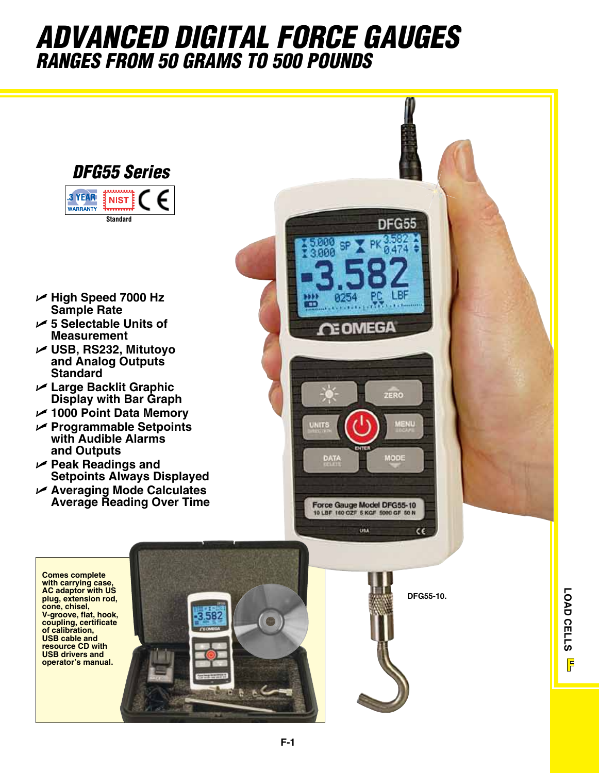## *ADVANCED DIGITAL FORCE GAUGES RANGES FROM 50 GRAMS TO 500 POUNDS*



- U **High Speed 7000 Hz Sample Rate**
- U **5 Selectable Units of Measurement**
- U **USB, RS232, Mitutoyo and Analog Outputs Standard**
- U **Large Backlit Graphic Display with Bar Graph**
- U **1000 Point Data Memory**
- U **Programmable Setpoints with Audible Alarms and Outputs**
- U **Peak Readings and Setpoints Always Displayed**
- U **Averaging Mode Calculates Average Reading Over Time**



**Comes complete with carrying case, AC adaptor with US plug, extension rod, cone, chisel, V-groove, flat, hook, coupling, certificate of calibration, USB cable and resource CD with USB drivers and** 



**DFG55-10.**

**LOAD CELLS** LOAD CELLS